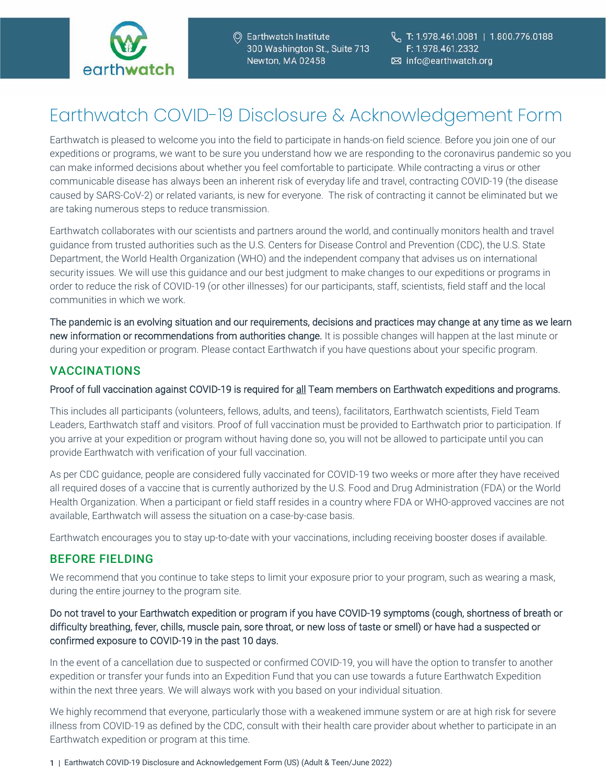

# Earthwatch COVID-19 Disclosure & Acknowledgement Form

Earthwatch is pleased to welcome you into the field to participate in hands-on field science. Before you join one of our expeditions or programs, we want to be sure you understand how we are responding to the coronavirus pandemic so you can make informed decisions about whether you feel comfortable to participate. While contracting a virus or other communicable disease has always been an inherent risk of everyday life and travel, contracting COVID-19 (the disease caused by SARS-CoV-2) or related variants, is new for everyone. The risk of contracting it cannot be eliminated but we are taking numerous steps to reduce transmission.

Earthwatch collaborates with our scientists and partners around the world, and continually monitors health and travel guidance from trusted authorities such as the U.S. Centers for Disease Control and Prevention (CDC), the U.S. State Department, the World Health Organization (WHO) and the independent company that advises us on international security issues. We will use this guidance and our best judgment to make changes to our expeditions or programs in order to reduce the risk of COVID-19 (or other illnesses) for our participants, staff, scientists, field staff and the local communities in which we work.

The pandemic is an evolving situation and our requirements, decisions and practices may change at any time as we learn new information or recommendations from authorities change. It is possible changes will happen at the last minute or during your expedition or program. Please contact Earthwatch if you have questions about your specific program.

## VACCINATIONS

#### Proof of full vaccination against COVID-19 is required for all Team members on Earthwatch expeditions and programs.

This includes all participants (volunteers, fellows, adults, and teens), facilitators, Earthwatch scientists, Field Team Leaders, Earthwatch staff and visitors. Proof of full vaccination must be provided to Earthwatch prior to participation. If you arrive at your expedition or program without having done so, you will not be allowed to participate until you can provide Earthwatch with verification of your full vaccination.

As per CDC guidance, people are considered fully vaccinated for COVID-19 two weeks or more after they have received all required doses of a vaccine that is currently authorized by the U.S. Food and Drug Administration (FDA) or the World Health Organization. When a participant or field staff resides in a country where FDA or WHO-approved vaccines are not available, Earthwatch will assess the situation on a case-by-case basis.

Earthwatch encourages you to stay up-to-date with your vaccinations, including receiving booster doses if available.

## BEFORE FIELDING

We recommend that you continue to take steps to limit your exposure prior to your program, such as wearing a mask, during the entire journey to the program site.

#### Do not travel to your Earthwatch expedition or program if you have COVID-19 symptoms (cough, shortness of breath or difficulty breathing, fever, chills, muscle pain, sore throat, or new loss of taste or smell) or have had a suspected or confirmed exposure to COVID-19 in the past 10 days.

In the event of a cancellation due to suspected or confirmed COVID-19, you will have the option to transfer to another expedition or transfer your funds into an Expedition Fund that you can use towards a future Earthwatch Expedition within the next three years. We will always work with you based on your individual situation.

We highly recommend that everyone, particularly those with a weakened immune system or are at high risk for severe illness from COVID-19 as defined by the CDC, consult with their health care provider about whether to participate in an Earthwatch expedition or program at this time.